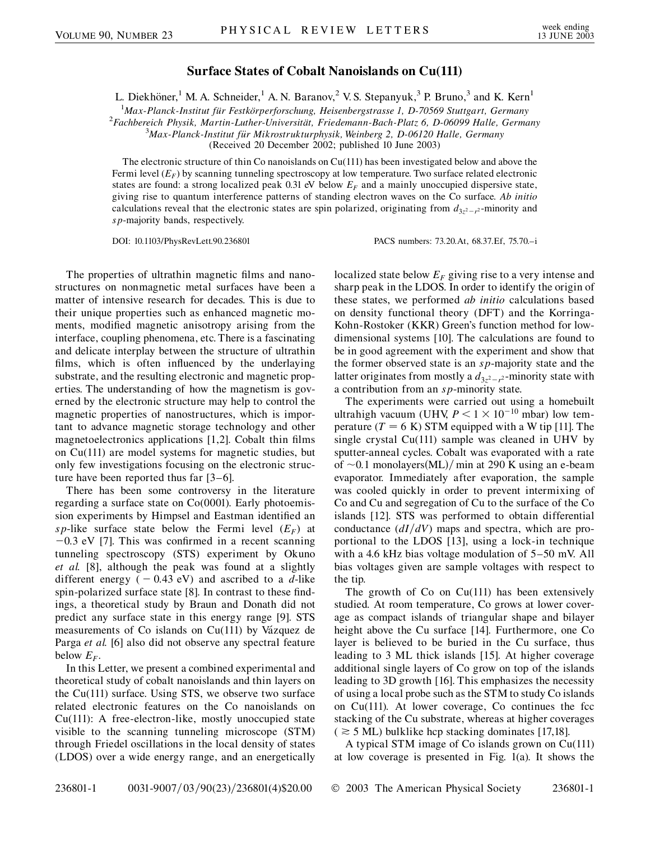## **Surface States of Cobalt Nanoislands on Cu(111)**

L. Diekhöner,<sup>1</sup> M. A. Schneider,<sup>1</sup> A. N. Baranov,<sup>2</sup> V. S. Stepanyuk,<sup>3</sup> P. Bruno,<sup>3</sup> and K. Kern<sup>1</sup>

<sup>1</sup> Max-Planck-Institut für Festkörperforschung, Heisenbergstrasse 1, D-70569 Stuttgart, Germany<br><sup>2</sup> Eachbergich Physik Martin Luther Universität, Friedemann Bach Platz 6, D 06000 Halle, German

*Fachbereich Physik, Martin-Luther-Universita¨t, Friedemann-Bach-Platz 6, D-06099 Halle, Germany* <sup>3</sup>

*Max-Planck-Institut fu¨r Mikrostrukturphysik, Weinberg 2, D-06120 Halle, Germany*

(Received 20 December 2002; published 10 June 2003)

The electronic structure of thin Co nanoislands on  $Cu(111)$  has been investigated below and above the Fermi level  $(E_F)$  by scanning tunneling spectroscopy at low temperature. Two surface related electronic states are found: a strong localized peak  $0.31$  eV below  $E_F$  and a mainly unoccupied dispersive state, giving rise to quantum interference patterns of standing electron waves on the Co surface. *Ab initio* calculations reveal that the electronic states are spin polarized, originating from  $d_{3z^2-r^2}$ -minority and *sp*-majority bands, respectively.

DOI: 10.1103/PhysRevLett.90.236801 PACS numbers: 73.20.At, 68.37.Ef, 75.70.–i

The properties of ultrathin magnetic films and nanostructures on nonmagnetic metal surfaces have been a matter of intensive research for decades. This is due to their unique properties such as enhanced magnetic moments, modified magnetic anisotropy arising from the interface, coupling phenomena, etc. There is a fascinating and delicate interplay between the structure of ultrathin films, which is often influenced by the underlaying substrate, and the resulting electronic and magnetic properties. The understanding of how the magnetism is governed by the electronic structure may help to control the magnetic properties of nanostructures, which is important to advance magnetic storage technology and other magnetoelectronics applications [1,2]. Cobalt thin films on Cu(111) are model systems for magnetic studies, but only few investigations focusing on the electronic structure have been reported thus far [3–6].

There has been some controversy in the literature regarding a surface state on Co(0001). Early photoemission experiments by Himpsel and Eastman identified an *sp*-like surface state below the Fermi level  $(E_F)$  at  $-0.3$  eV [7]. This was confirmed in a recent scanning tunneling spectroscopy (STS) experiment by Okuno *et al.* [8], although the peak was found at a slightly different energy  $(-0.43 \text{ eV})$  and ascribed to a *d*-like spin-polarized surface state [8]. In contrast to these findings, a theoretical study by Braun and Donath did not predict any surface state in this energy range [9]. STS measurements of Co islands on  $Cu(111)$  by Vázquez de Parga *et al.* [6] also did not observe any spectral feature below  $E<sub>F</sub>$ .

In this Letter, we present a combined experimental and theoretical study of cobalt nanoislands and thin layers on the Cu(111) surface. Using STS, we observe two surface related electronic features on the Co nanoislands on Cu(111): A free-electron-like, mostly unoccupied state visible to the scanning tunneling microscope (STM) through Friedel oscillations in the local density of states (LDOS) over a wide energy range, and an energetically localized state below  $E_F$  giving rise to a very intense and sharp peak in the LDOS. In order to identify the origin of these states, we performed *ab initio* calculations based on density functional theory (DFT) and the Korringa-Kohn-Rostoker (KKR) Green's function method for lowdimensional systems [10]. The calculations are found to be in good agreement with the experiment and show that the former observed state is an *sp*-majority state and the latter originates from mostly a  $d_{3z^2-r^2}$ -minority state with a contribution from an *sp*-minority state.

The experiments were carried out using a homebuilt ultrahigh vacuum (UHV,  $P < 1 \times 10^{-10}$  mbar) low temperature  $(T = 6 K)$  STM equipped with a W tip [11]. The single crystal Cu(111) sample was cleaned in UHV by sputter-anneal cycles. Cobalt was evaporated with a rate of  $\sim$ 0.1 monolayers(ML)/ min at 290 K using an e-beam evaporator. Immediately after evaporation, the sample was cooled quickly in order to prevent intermixing of Co and Cu and segregation of Cu to the surface of the Co islands [12]. STS was performed to obtain differential conductance  $\left(\frac{dI}{dV}\right)$  maps and spectra, which are proportional to the LDOS [13], using a lock-in technique with a 4.6 kHz bias voltage modulation of 5–50 mV. All bias voltages given are sample voltages with respect to the tip.

The growth of  $Co$  on  $Cu(111)$  has been extensively studied. At room temperature, Co grows at lower coverage as compact islands of triangular shape and bilayer height above the Cu surface [14]. Furthermore, one Co layer is believed to be buried in the Cu surface, thus leading to 3 ML thick islands [15]. At higher coverage additional single layers of Co grow on top of the islands leading to 3D growth [16]. This emphasizes the necessity of using a local probe such as the STM to study Co islands on Cu(111). At lower coverage, Co continues the fcc stacking of the Cu substrate, whereas at higher coverages  $($   $\geq$  5 ML) bulklike hcp stacking dominates [17,18].

A typical STM image of Co islands grown on Cu(111) at low coverage is presented in Fig. 1(a). It shows the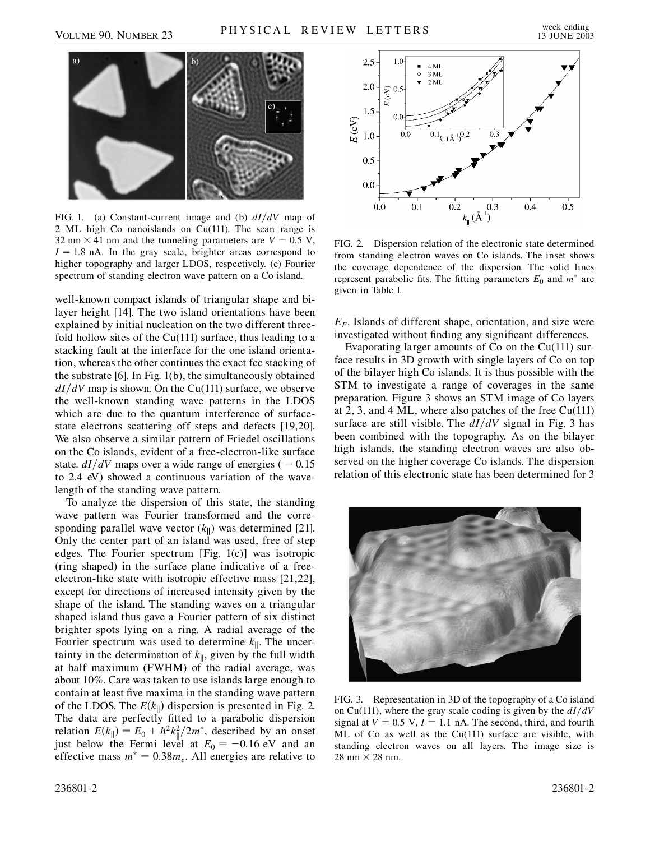

FIG. 1. (a) Constant-current image and (b)  $dI/dV$  map of 2 ML high Co nanoislands on Cu(111). The scan range is 32 nm  $\times$  41 nm and the tunneling parameters are  $V = 0.5$  V,  $I = 1.8$  nA. In the gray scale, brighter areas correspond to higher topography and larger LDOS, respectively. (c) Fourier spectrum of standing electron wave pattern on a Co island.

well-known compact islands of triangular shape and bilayer height [14]. The two island orientations have been explained by initial nucleation on the two different threefold hollow sites of the Cu(111) surface, thus leading to a stacking fault at the interface for the one island orientation, whereas the other continues the exact fcc stacking of the substrate [6]. In Fig. 1(b), the simultaneously obtained  $dI/dV$  map is shown. On the Cu(111) surface, we observe the well-known standing wave patterns in the LDOS which are due to the quantum interference of surfacestate electrons scattering off steps and defects [19,20]. We also observe a similar pattern of Friedel oscillations on the Co islands, evident of a free-electron-like surface state.  $dI/dV$  maps over a wide range of energies (  $-0.15$ ) to 2.4 eV) showed a continuous variation of the wavelength of the standing wave pattern.

To analyze the dispersion of this state, the standing wave pattern was Fourier transformed and the corresponding parallel wave vector  $(k_{\parallel})$  was determined [21]. Only the center part of an island was used, free of step edges. The Fourier spectrum [Fig. 1(c)] was isotropic (ring shaped) in the surface plane indicative of a freeelectron-like state with isotropic effective mass [21,22], except for directions of increased intensity given by the shape of the island. The standing waves on a triangular shaped island thus gave a Fourier pattern of six distinct brighter spots lying on a ring. A radial average of the Fourier spectrum was used to determine  $k_{\parallel}$ . The uncertainty in the determination of  $k_{\parallel}$ , given by the full width at half maximum (FWHM) of the radial average, was about 10%. Care was taken to use islands large enough to contain at least five maxima in the standing wave pattern of the LDOS. The  $E(k_{\parallel})$  dispersion is presented in Fig. 2. The data are perfectly fitted to a parabolic dispersion relation  $E(k_{\parallel}) = E_0 + \hbar^2 k_{\parallel}^2 / 2m^*$ , described by an onset just below the Fermi level at  $E_0 = -0.16$  eV and an effective mass  $m^* = 0.38m_e$ . All energies are relative to



FIG. 2. Dispersion relation of the electronic state determined from standing electron waves on Co islands. The inset shows the coverage dependence of the dispersion. The solid lines represent parabolic fits. The fitting parameters  $E_0$  and  $m^*$  are given in Table I.

 $E_F$ . Islands of different shape, orientation, and size were investigated without finding any significant differences.

Evaporating larger amounts of Co on the Cu(111) surface results in 3D growth with single layers of Co on top of the bilayer high Co islands. It is thus possible with the STM to investigate a range of coverages in the same preparation. Figure 3 shows an STM image of Co layers at 2, 3, and 4 ML, where also patches of the free Cu(111) surface are still visible. The  $dI/dV$  signal in Fig. 3 has been combined with the topography. As on the bilayer high islands, the standing electron waves are also observed on the higher coverage Co islands. The dispersion relation of this electronic state has been determined for 3



FIG. 3. Representation in 3D of the topography of a Co island on Cu(111), where the gray scale coding is given by the  $dI/dV$ signal at  $V = 0.5$  V,  $I = 1.1$  nA. The second, third, and fourth ML of Co as well as the Cu(111) surface are visible, with standing electron waves on all layers. The image size is  $28 \text{ nm} \times 28 \text{ nm}.$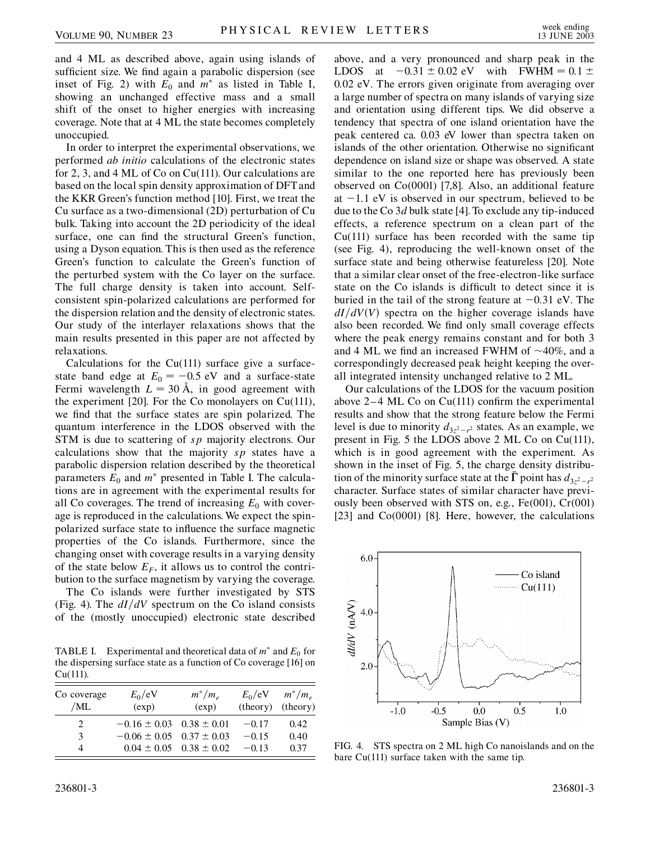and 4 ML as described above, again using islands of sufficient size. We find again a parabolic dispersion (see inset of Fig. 2) with  $E_0$  and  $m^*$  as listed in Table I, showing an unchanged effective mass and a small shift of the onset to higher energies with increasing coverage. Note that at 4 ML the state becomes completely unoccupied.

In order to interpret the experimental observations, we performed *ab initio* calculations of the electronic states for 2, 3, and 4 ML of Co on Cu(111). Our calculations are based on the local spin density approximation of DFTand the KKR Green's function method [10]. First, we treat the Cu surface as a two-dimensional (2D) perturbation of Cu bulk. Taking into account the 2D periodicity of the ideal surface, one can find the structural Green's function, using a Dyson equation. This is then used as the reference Green's function to calculate the Green's function of the perturbed system with the Co layer on the surface. The full charge density is taken into account. Selfconsistent spin-polarized calculations are performed for the dispersion relation and the density of electronic states. Our study of the interlayer relaxations shows that the main results presented in this paper are not affected by relaxations.

Calculations for the  $Cu(111)$  surface give a surfacestate band edge at  $E_0 = -0.5$  eV and a surface-state Fermi wavelength  $L = 30 \text{ Å}$ , in good agreement with the experiment [20]. For the Co monolayers on  $Cu(111)$ , we find that the surface states are spin polarized. The quantum interference in the LDOS observed with the STM is due to scattering of *sp* majority electrons. Our calculations show that the majority *sp* states have a parabolic dispersion relation described by the theoretical parameters  $E_0$  and  $m^*$  presented in Table I. The calculations are in agreement with the experimental results for all Co coverages. The trend of increasing  $E_0$  with coverage is reproduced in the calculations. We expect the spinpolarized surface state to influence the surface magnetic properties of the Co islands. Furthermore, since the changing onset with coverage results in a varying density of the state below  $E_F$ , it allows us to control the contribution to the surface magnetism by varying the coverage.

The Co islands were further investigated by STS (Fig. 4). The  $dI/dV$  spectrum on the Co island consists of the (mostly unoccupied) electronic state described

TABLE I. Experimental and theoretical data of  $m^*$  and  $E_0$  for the dispersing surface state as a function of Co coverage [16] on Cu(111).

| Co coverage<br>/ML | $E_0/eV$<br>(exp)                | $m^*/m_e$<br>(exp)              | $E_0/eV$<br>(theory) (theory) | $m^*/m_e$ |
|--------------------|----------------------------------|---------------------------------|-------------------------------|-----------|
| $\mathcal{D}$      | $-0.16 \pm 0.03$ $0.38 \pm 0.01$ |                                 | $-0.17$                       | 0.42      |
| 3                  | $-0.06 \pm 0.05$ 0.37 $\pm$ 0.03 |                                 | $-0.15$                       | 0.40      |
| Δ                  |                                  | $0.04 \pm 0.05$ $0.38 \pm 0.02$ | $-0.13$                       | 0.37      |

above, and a very pronounced and sharp peak in the LDOS at  $-0.31 \pm 0.02$  eV with FWHM =  $0.1 \pm$ 0*:*02 eV. The errors given originate from averaging over a large number of spectra on many islands of varying size and orientation using different tips. We did observe a tendency that spectra of one island orientation have the peak centered ca. 0.03 eV lower than spectra taken on islands of the other orientation. Otherwise no significant dependence on island size or shape was observed. A state similar to the one reported here has previously been observed on Co(0001) [7,8]. Also, an additional feature at  $-1.1$  eV is observed in our spectrum, believed to be due to the Co 3*d* bulk state [4]. To exclude any tip-induced effects, a reference spectrum on a clean part of the  $Cu(111)$  surface has been recorded with the same tip (see Fig. 4), reproducing the well-known onset of the surface state and being otherwise featureless [20]. Note that a similar clear onset of the free-electron-like surface state on the Co islands is difficult to detect since it is buried in the tail of the strong feature at  $-0.31$  eV. The  $dI/dV$ *V* $)$  spectra on the higher coverage islands have also been recorded. We find only small coverage effects where the peak energy remains constant and for both 3 and 4 ML we find an increased FWHM of  $\sim$ 40%, and a correspondingly decreased peak height keeping the overall integrated intensity unchanged relative to 2 ML.

Our calculations of the LDOS for the vacuum position above 2–4 ML Co on Cu(111) confirm the experimental results and show that the strong feature below the Fermi level is due to minority  $d_{3z^2-r^2}$  states. As an example, we present in Fig. 5 the LDOS above 2 ML Co on Cu(111), which is in good agreement with the experiment. As shown in the inset of Fig. 5, the charge density distribution of the minority surface state at the  $\Gamma$  point has  $d_{3z^2-r^2}$ character. Surface states of similar character have previously been observed with STS on, e.g., Fe(001), Cr(001) [23] and Co(0001) [8]. Here, however, the calculations



FIG. 4. STS spectra on 2 ML high Co nanoislands and on the bare Cu(111) surface taken with the same tip.